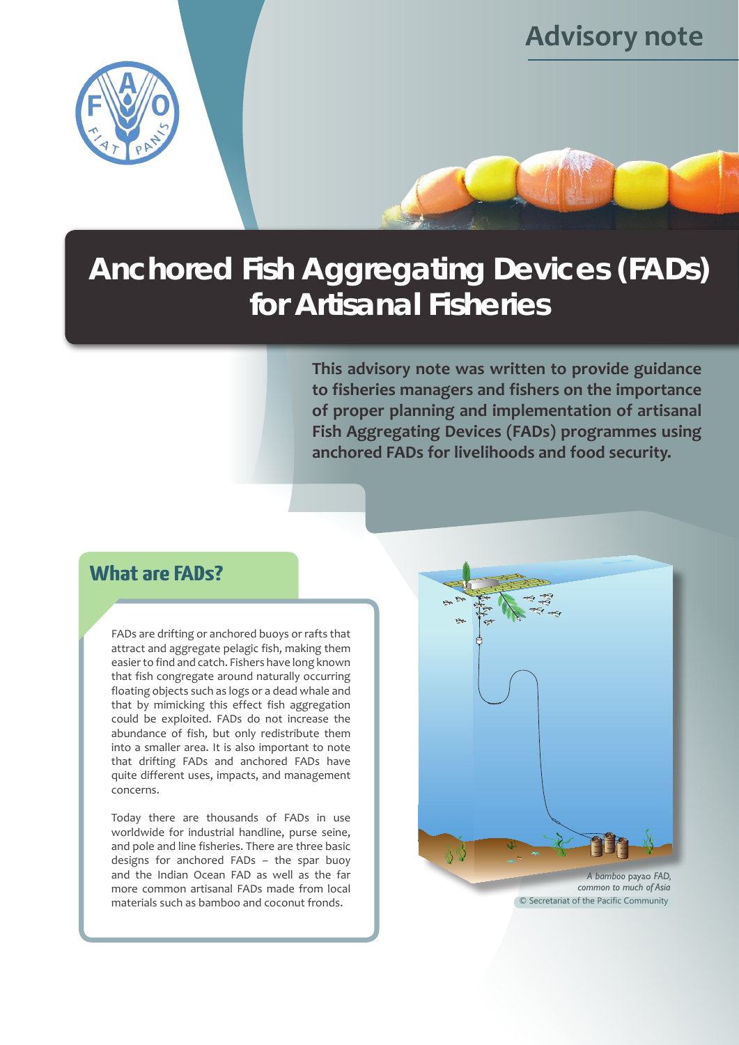

# **Anchored Fish Aggregating Devices (FADs) for Artisanal Fisheries**

**This advisory note was written to provide guidance to fisheries managers and fishers on the importance of proper planning and implementation of artisanal Fish Aggregating Devices (FADs) programmes using anchored FADs for livelihoods and food security.**

**Advisory note**

# **What are FADs?**

FADs are drifting or anchored buoys or rafts that attract and aggregate pelagic fish, making them easier to find and catch. Fishers have long known that fish congregate around naturally occurring floating objects such as logs or a dead whale and that by mimicking this effect fish aggregation could be exploited. FADs do not increase the abundance of fish, but only redistribute them into a smaller area. It is also important to note that drifting FADs and anchored FADs have quite different uses, impacts, and management concerns.

Today there are thousands of FADs in use worldwide for industrial handline, purse seine, and pole and line fisheries. There are three basic designs for anchored FADs – the spar buoy and the Indian Ocean FAD as well as the far more common artisanal FADs made from local materials such as bamboo and coconut fronds.



*common to much of Asia* © Secretariat of the Pacific Community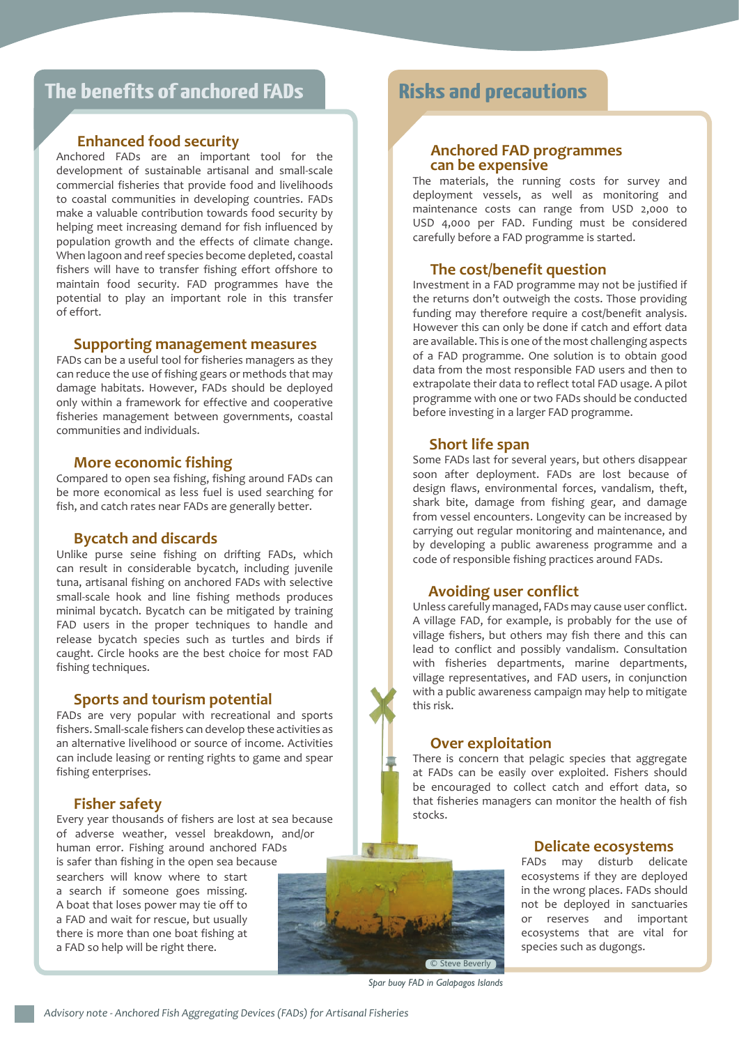# **The benefits of anchored FADs Risks and precautions**

#### **Enhanced food security**

Anchored FADs are an important tool for the development of sustainable artisanal and small-scale commercial fisheries that provide food and livelihoods to coastal communities in developing countries. FADs make a valuable contribution towards food security by helping meet increasing demand for fish influenced by population growth and the effects of climate change. When lagoon and reef species become depleted, coastal fishers will have to transfer fishing effort offshore to maintain food security. FAD programmes have the potential to play an important role in this transfer of effort.

#### **Supporting management measures**

FADs can be a useful tool for fisheries managers as they can reduce the use of fishing gears or methods that may damage habitats. However, FADs should be deployed only within a framework for effective and cooperative fisheries management between governments, coastal communities and individuals.

#### **More economic fishing**

Compared to open sea fishing, fishing around FADs can be more economical as less fuel is used searching for fish, and catch rates near FADs are generally better.

#### **Bycatch and discards**

Unlike purse seine fishing on drifting FADs, which can result in considerable bycatch, including juvenile tuna, artisanal fishing on anchored FADs with selective small-scale hook and line fishing methods produces minimal bycatch. Bycatch can be mitigated by training FAD users in the proper techniques to handle and release bycatch species such as turtles and birds if caught. Circle hooks are the best choice for most FAD fishing techniques.

#### **Sports and tourism potential**

FADs are very popular with recreational and sports fishers. Small-scale fishers can develop these activities as an alternative livelihood or source of income. Activities can include leasing or renting rights to game and spear fishing enterprises.

#### **Fisher safety**

Every year thousands of fishers are lost at sea because of adverse weather, vessel breakdown, and/or human error. Fishing around anchored FADs is safer than fishing in the open sea because searchers will know where to start a search if someone goes missing. A boat that loses power may tie off to a FAD and wait for rescue, but usually there is more than one boat fishing at a FAD so help will be right there.

# **Anchored FAD programmes can be expensive**

The materials, the running costs for survey and deployment vessels, as well as monitoring and maintenance costs can range from USD 2,000 to USD 4,000 per FAD. Funding must be considered carefully before a FAD programme is started.

#### **The cost/benefit question**

Investment in a FAD programme may not be justified if the returns don't outweigh the costs. Those providing funding may therefore require a cost/benefit analysis. However this can only be done if catch and effort data are available. This is one of the most challenging aspects of a FAD programme. One solution is to obtain good data from the most responsible FAD users and then to extrapolate their data to reflect total FAD usage. A pilot programme with one or two FADs should be conducted before investing in a larger FAD programme.

#### **Short life span**

Some FADs last for several years, but others disappear soon after deployment. FADs are lost because of design flaws, environmental forces, vandalism, theft, shark bite, damage from fishing gear, and damage from vessel encounters. Longevity can be increased by carrying out regular monitoring and maintenance, and by developing a public awareness programme and a code of responsible fishing practices around FADs.

#### **Avoiding user conflict**

Unless carefully managed, FADs may cause user conflict. A village FAD, for example, is probably for the use of village fishers, but others may fish there and this can lead to conflict and possibly vandalism. Consultation with fisheries departments, marine departments, village representatives, and FAD users, in conjunction with a public awareness campaign may help to mitigate this risk.

#### **Over exploitation**

There is concern that pelagic species that aggregate at FADs can be easily over exploited. Fishers should be encouraged to collect catch and effort data, so that fisheries managers can monitor the health of fish stocks.

#### **Delicate ecosystems**

FADs may disturb delicate ecosystems if they are deployed in the wrong places. FADs should not be deployed in sanctuaries or reserves and important ecosystems that are vital for species such as dugongs.

© Steve Beverly

*Spar buoy FAD in Galapagos Islands*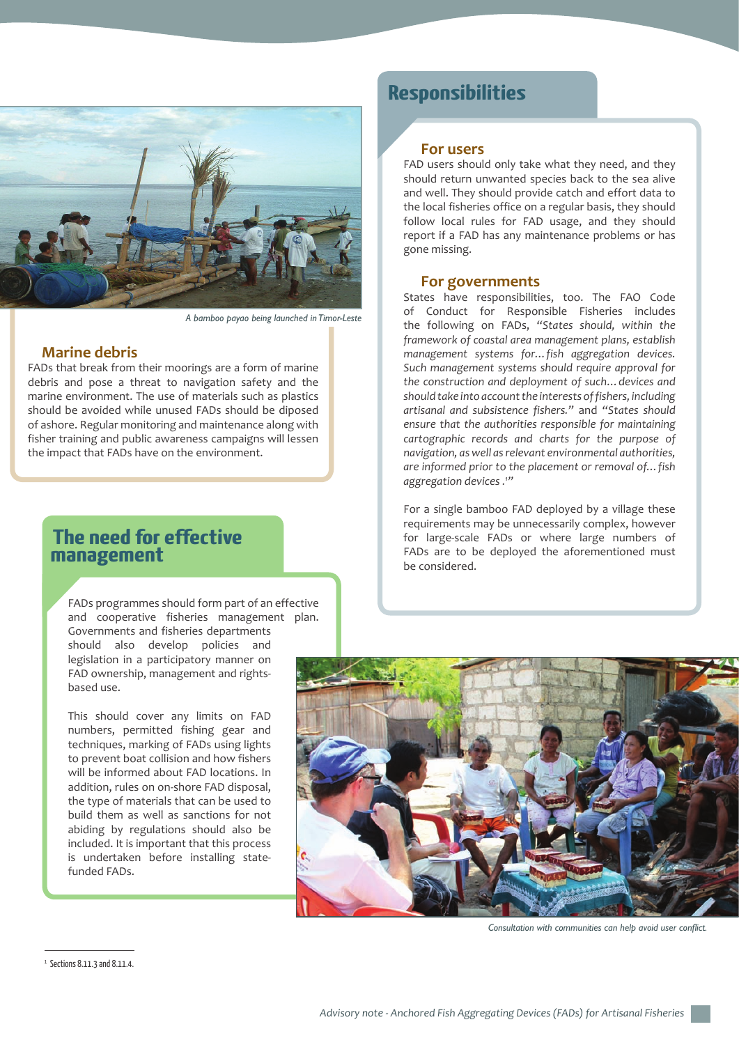

*A bamboo payao being launched in Timor-Leste*

#### **Marine debris**

FADs that break from their moorings are a form of marine debris and pose a threat to navigation safety and the marine environment. The use of materials such as plastics should be avoided while unused FADs should be diposed of ashore. Regular monitoring and maintenance along with fisher training and public awareness campaigns will lessen the impact that FADs have on the environment.

### **The need for effective management**

FADs programmes should form part of an effective and cooperative fisheries management plan. Governments and fisheries departments should also develop policies and legislation in a participatory manner on FAD ownership, management and rightsbased use.

This should cover any limits on FAD numbers, permitted fishing gear and techniques, marking of FADs using lights to prevent boat collision and how fishers will be informed about FAD locations. In addition, rules on on-shore FAD disposal, the type of materials that can be used to build them as well as sanctions for not abiding by regulations should also be included. It is important that this process is undertaken before installing statefunded FADs.

# **Responsibilities**

#### **For users**

FAD users should only take what they need, and they should return unwanted species back to the sea alive and well. They should provide catch and effort data to the local fisheries office on a regular basis, they should follow local rules for FAD usage, and they should report if a FAD has any maintenance problems or has gone missing.

#### **For governments**

States have responsibilities, too. The FAO Code of Conduct for Responsible Fisheries includes the following on FADs, *"States should, within the framework of coastal area management plans, establish management systems for…fish aggregation devices. Such management systems should require approval for the construction and deployment of such…devices and should take into account the interests of fishers, including artisanal and subsistence fishers."* and *"States should ensure that the authorities responsible for maintaining cartographic records and charts for the purpose of navigation, as well as relevant environmental authorities, are informed prior to the placement or removal of…fish aggregation devices .1 "* 

For a single bamboo FAD deployed by a village these requirements may be unnecessarily complex, however for large-scale FADs or where large numbers of FADs are to be deployed the aforementioned must be considered.



*Consultation with communities can help avoid user conflict.*

 $1$  Sections 8.11.3 and 8.11.4.